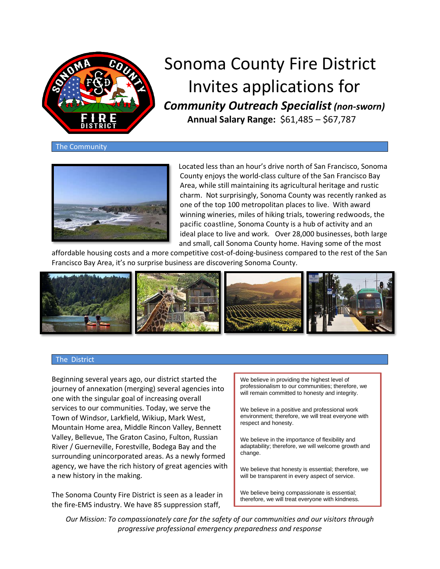

# Sonoma County Fire District Invites applications for *Community Outreach Specialist (non-sworn)* **Annual Salary Range:** \$61,485 – \$67,787

The Community



Located less than an hour's drive north of San Francisco, Sonoma County enjoys the world-class culture of the San Francisco Bay Area, while still maintaining its agricultural heritage and rustic charm. Not surprisingly, Sonoma County was recently ranked as one of the top 100 [metropolitan](http://realestate.usnews.com/places/california/santa-rosa) places to live. With award winning wineries, miles of hiking trials, towerin[g redwoods,](https://www.sonomacounty.com/regions/redwoods-rivers) the [pacific coastline,](https://www.sonomacounty.com/regions/coast-sea-villages) Sonoma County is a hub of activity and an ideal place to live and work. Over 28,000 businesses, both large and small, call Sonoma County home. Having some of the most

affordable housing costs and a more competitive cost-of-doing-business compared to the rest of the San Francisco Bay Area, it's no surprise business are discovering Sonoma County.



#### The District

Beginning several years ago, our district started the journey of annexation (merging) several agencies into one with the singular goal of increasing overall services to our communities. Today, we serve the Town of Windsor, Larkfield, Wikiup, Mark West, Mountain Home area, Middle Rincon Valley, Bennett Valley, Bellevue, The Graton Casino, Fulton, Russian River / Guerneville, Forestville, Bodega Bay and the surrounding unincorporated areas. As a newly formed agency, we have the rich history of great agencies with a new history in the making.

The Sonoma County Fire District is seen as a leader in the fire-EMS industry. We have 85 suppression staff,

We believe in providing the highest level of professionalism to our communities; therefore, we will remain committed to honesty and integrity.

We believe in a positive and professional work environment; therefore, we will treat everyone with respect and honesty.

We believe in the importance of flexibility and adaptability; therefore, we will welcome growth and change.

We believe that honesty is essential; therefore, we will be transparent in every aspect of service.

We believe being compassionate is essential; therefore, we will treat everyone with kindness.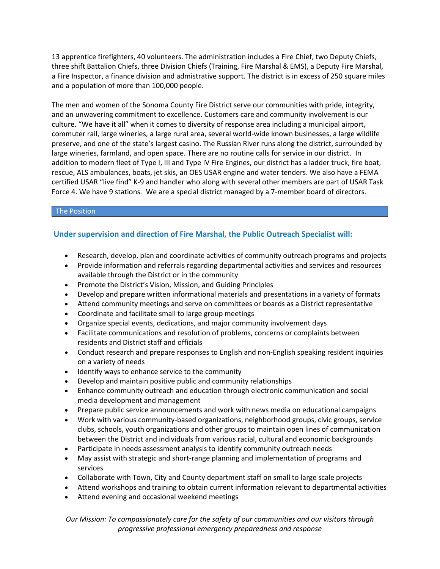13 apprentice firefighters, 40 volunteers. The administration includes a Fire Chief, two Deputy Chiefs, three shift Battalion Chiefs, three Division Chiefs (Training, Fire Marshal & EMS), a Deputy Fire Marshal, a Fire Inspector, a finance division and admistrative support. The district is in excess of 250 square miles and a population of more than 100,000 people.

The men and women of the Sonoma County Fire District serve our communities with pride, integrity, and an unwavering commitment to excellence. Customers care and community involvement is our culture. "We have it all" when it comes to diversity of response area including a municipal airport, commuter rail, large wineries, a large rural area, several world-wide known businesses, a large wildlife preserve, and one of the state's largest casino. The Russian River runs along the district, surrounded by large wineries, farmland, and open space. There are no routine calls for service in our district. In addition to modern fleet of Type I, III and Type IV Fire Engines, our district has a ladder truck, fire boat, rescue, ALS ambulances, boats, jet skis, an OES USAR engine and water tenders. We also have a FEMA certified USAR "live find" K-9 and handler who along with several other members are part of USAR Task Force 4. We have 9 stations. We are a special district managed by a 7-member board of directors.

## The Position

# **Under supervision and direction of Fire Marshal, the Public Outreach Specialist will:**

- Research, develop, plan and coordinate activities of community outreach programs and projects
- Provide information and referrals regarding departmental activities and services and resources available through the District or in the community
- Promote the District's Vision, Mission, and Guiding Principles
- Develop and prepare written informational materials and presentations in a variety of formats
- Attend community meetings and serve on committees or boards as a District representative
- Coordinate and facilitate small to large group meetings
- Organize special events, dedications, and major community involvement days
- Facilitate communications and resolution of problems, concerns or complaints between residents and District staff and officials
- Conduct research and prepare responses to English and non-English speaking resident inquiries on a variety of needs
- Identify ways to enhance service to the community
- Develop and maintain positive public and community relationships
- Enhance community outreach and education through electronic communication and social media development and management
- Prepare public service announcements and work with news media on educational campaigns
- Work with various community-based organizations, neighborhood groups, civic groups, service clubs, schools, youth organizations and other groups to maintain open lines of communication between the District and individuals from various racial, cultural and economic backgrounds
- Participate in needs assessment analysis to identify community outreach needs
- May assist with strategic and short-range planning and implementation of programs and services
- Collaborate with Town, City and County department staff on small to large scale projects
- Attend workshops and training to obtain current information relevant to departmental activities
- Attend evening and occasional weekend meetings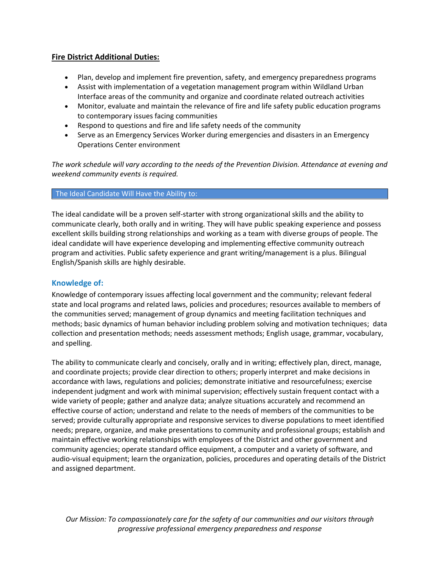## **Fire District Additional Duties:**

- Plan, develop and implement fire prevention, safety, and emergency preparedness programs
- Assist with implementation of a vegetation management program within Wildland Urban Interface areas of the community and organize and coordinate related outreach activities
- Monitor, evaluate and maintain the relevance of fire and life safety public education programs to contemporary issues facing communities
- Respond to questions and fire and life safety needs of the community
- Serve as an Emergency Services Worker during emergencies and disasters in an Emergency Operations Center environment

*The work schedule will vary according to the needs of the Prevention Division. Attendance at evening and weekend community events is required.*

## The Ideal Candidate Will Have the Ability to:

The ideal candidate will be a proven self-starter with strong organizational skills and the ability to communicate clearly, both orally and in writing. They will have public speaking experience and possess excellent skills building strong relationships and working as a team with diverse groups of people. The ideal candidate will have experience developing and implementing effective community outreach program and activities. Public safety experience and grant writing/management is a plus. Bilingual English/Spanish skills are highly desirable.

## **Knowledge of:**

Knowledge of contemporary issues affecting local government and the community; relevant federal state and local programs and related laws, policies and procedures; resources available to members of the communities served; management of group dynamics and meeting facilitation techniques and methods; basic dynamics of human behavior including problem solving and motivation techniques; data collection and presentation methods; needs assessment methods; English usage, grammar, vocabulary, and spelling.

The ability to communicate clearly and concisely, orally and in writing; effectively plan, direct, manage, and coordinate projects; provide clear direction to others; properly interpret and make decisions in accordance with laws, regulations and policies; demonstrate initiative and resourcefulness; exercise independent judgment and work with minimal supervision; effectively sustain frequent contact with a wide variety of people; gather and analyze data; analyze situations accurately and recommend an effective course of action; understand and relate to the needs of members of the communities to be served; provide culturally appropriate and responsive services to diverse populations to meet identified needs; prepare, organize, and make presentations to community and professional groups; establish and maintain effective working relationships with employees of the District and other government and community agencies; operate standard office equipment, a computer and a variety of software, and audio-visual equipment; learn the organization, policies, procedures and operating details of the District and assigned department.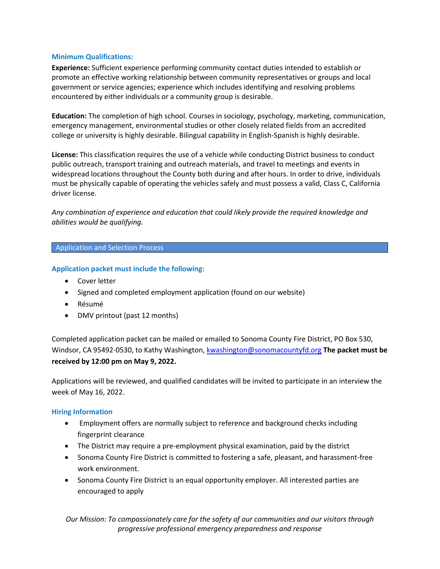## **Minimum Qualifications:**

**Experience:** Sufficient experience performing community contact duties intended to establish or promote an effective working relationship between community representatives or groups and local government or service agencies; experience which includes identifying and resolving problems encountered by either individuals or a community group is desirable.

**Education:** The completion of high school. Courses in sociology, psychology, marketing, communication, emergency management, environmental studies or other closely related fields from an accredited college or university is highly desirable. Bilingual capability in English-Spanish is highly desirable.

**License:** This classification requires the use of a vehicle while conducting District business to conduct public outreach, transport training and outreach materials, and travel to meetings and events in widespread locations throughout the County both during and after hours. In order to drive, individuals must be physically capable of operating the vehicles safely and must possess a valid, Class C, California driver license.

*Any combination of experience and education that could likely provide the required knowledge and abilities would be qualifying.*

#### Application and Selection Process

## **Application packet must include the following:**

- Cover letter
- Signed and completed employment application (found on our website)
- Résumé
- DMV printout (past 12 months)

Completed application packet can be mailed or emailed to Sonoma County Fire District, PO Box 530, Windsor, CA 95492-0530, to Kathy Washington[, kwashington@sonomacountyfd.org](mailto:kwashington@sonomacountyfd.org) **The packet must be received by 12:00 pm on May 9, 2022.**

Applications will be reviewed, and qualified candidates will be invited to participate in an interview the week of May 16, 2022.

## **Hiring Information**

- Employment offers are normally subject to reference and background checks including fingerprint clearance
- The District may require a pre-employment physical examination, paid by the district
- Sonoma County Fire District is committed to fostering a safe, pleasant, and harassment-free work environment.
- Sonoma County Fire District is an equal opportunity employer. All interested parties are encouraged to apply